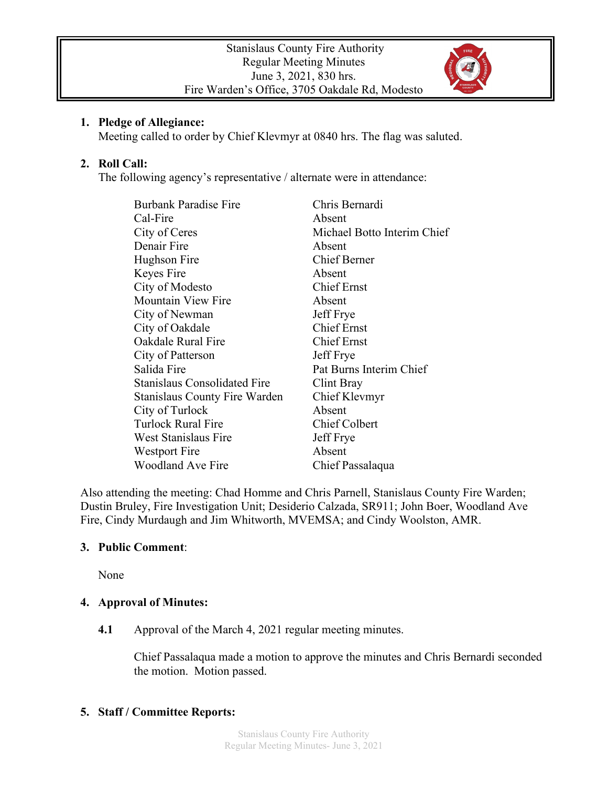

#### **1. Pledge of Allegiance:**

Meeting called to order by Chief Klevmyr at 0840 hrs. The flag was saluted.

## **2. Roll Call:**

The following agency's representative / alternate were in attendance:

| <b>Burbank Paradise Fire</b>         | Chris Bernardi              |
|--------------------------------------|-----------------------------|
| Cal-Fire                             | Absent                      |
| City of Ceres                        | Michael Botto Interim Chief |
| Denair Fire                          | Absent                      |
| Hughson Fire                         | <b>Chief Berner</b>         |
| Keyes Fire                           | Absent                      |
| City of Modesto                      | <b>Chief Ernst</b>          |
| <b>Mountain View Fire</b>            | Absent                      |
| City of Newman                       | Jeff Frye                   |
| City of Oakdale                      | <b>Chief Ernst</b>          |
| Oakdale Rural Fire                   | <b>Chief Ernst</b>          |
| City of Patterson                    | Jeff Frye                   |
| Salida Fire                          | Pat Burns Interim Chief     |
| <b>Stanislaus Consolidated Fire</b>  | Clint Bray                  |
| <b>Stanislaus County Fire Warden</b> | Chief Klevmyr               |
| City of Turlock                      | Absent                      |
| <b>Turlock Rural Fire</b>            | <b>Chief Colbert</b>        |
| West Stanislaus Fire                 | Jeff Frye                   |
| Westport Fire                        | Absent                      |
| <b>Woodland Ave Fire</b>             | Chief Passalaqua            |

Also attending the meeting: Chad Homme and Chris Parnell, Stanislaus County Fire Warden; Dustin Bruley, Fire Investigation Unit; Desiderio Calzada, SR911; John Boer, Woodland Ave Fire, Cindy Murdaugh and Jim Whitworth, MVEMSA; and Cindy Woolston, AMR.

## **3. Public Comment**:

None

# **4. Approval of Minutes:**

**4.1** Approval of the March 4, 2021 regular meeting minutes.

Chief Passalaqua made a motion to approve the minutes and Chris Bernardi seconded the motion. Motion passed.

## **5. Staff / Committee Reports:**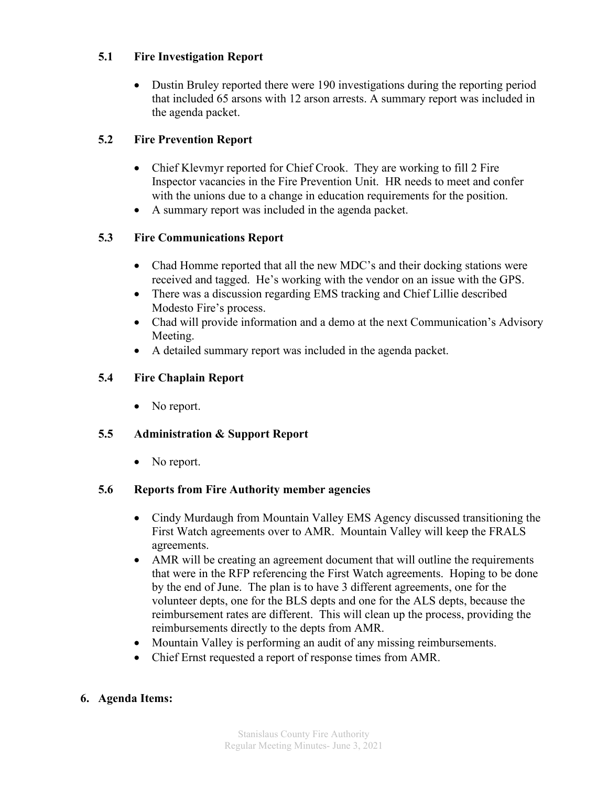## **5.1 Fire Investigation Report**

• Dustin Bruley reported there were 190 investigations during the reporting period that included 65 arsons with 12 arson arrests. A summary report was included in the agenda packet.

## **5.2 Fire Prevention Report**

- Chief Klevmyr reported for Chief Crook. They are working to fill 2 Fire Inspector vacancies in the Fire Prevention Unit. HR needs to meet and confer with the unions due to a change in education requirements for the position.
- A summary report was included in the agenda packet.

## **5.3 Fire Communications Report**

- Chad Homme reported that all the new MDC's and their docking stations were received and tagged. He's working with the vendor on an issue with the GPS.
- There was a discussion regarding EMS tracking and Chief Lillie described Modesto Fire's process.
- Chad will provide information and a demo at the next Communication's Advisory Meeting.
- A detailed summary report was included in the agenda packet.

## **5.4 Fire Chaplain Report**

• No report.

## **5.5 Administration & Support Report**

• No report.

## **5.6 Reports from Fire Authority member agencies**

- Cindy Murdaugh from Mountain Valley EMS Agency discussed transitioning the First Watch agreements over to AMR. Mountain Valley will keep the FRALS agreements.
- AMR will be creating an agreement document that will outline the requirements that were in the RFP referencing the First Watch agreements. Hoping to be done by the end of June. The plan is to have 3 different agreements, one for the volunteer depts, one for the BLS depts and one for the ALS depts, because the reimbursement rates are different. This will clean up the process, providing the reimbursements directly to the depts from AMR.
- Mountain Valley is performing an audit of any missing reimbursements.
- Chief Ernst requested a report of response times from AMR.

## **6. Agenda Items:**